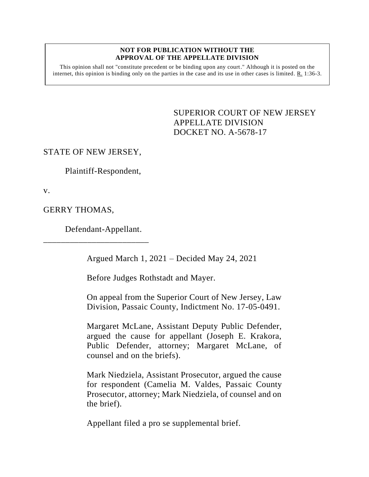#### **NOT FOR PUBLICATION WITHOUT THE APPROVAL OF THE APPELLATE DIVISION**

This opinion shall not "constitute precedent or be binding upon any court." Although it is posted on the internet, this opinion is binding only on the parties in the case and its use in other cases is limited.  $R_1$  1:36-3.

> SUPERIOR COURT OF NEW JERSEY APPELLATE DIVISION DOCKET NO. A-5678-17

### STATE OF NEW JERSEY,

Plaintiff-Respondent,

v.

GERRY THOMAS,

Defendant-Appellant.

\_\_\_\_\_\_\_\_\_\_\_\_\_\_\_\_\_\_\_\_\_\_\_\_

Argued March 1, 2021 – Decided May 24, 2021

Before Judges Rothstadt and Mayer.

On appeal from the Superior Court of New Jersey, Law Division, Passaic County, Indictment No. 17-05-0491.

Margaret McLane, Assistant Deputy Public Defender, argued the cause for appellant (Joseph E. Krakora, Public Defender, attorney; Margaret McLane, of counsel and on the briefs).

Mark Niedziela, Assistant Prosecutor, argued the cause for respondent (Camelia M. Valdes, Passaic County Prosecutor, attorney; Mark Niedziela, of counsel and on the brief).

Appellant filed a pro se supplemental brief.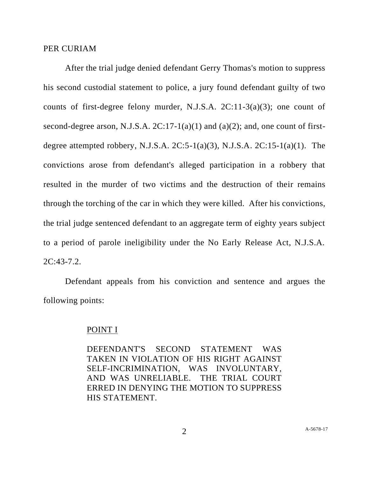#### PER CURIAM

After the trial judge denied defendant Gerry Thomas's motion to suppress his second custodial statement to police, a jury found defendant guilty of two counts of first-degree felony murder, N.J.S.A. 2C:11-3(a)(3); one count of second-degree arson, N.J.S.A.  $2C:17-1(a)(1)$  and  $(a)(2)$ ; and, one count of firstdegree attempted robbery, N.J.S.A.  $2C:5-1(a)(3)$ , N.J.S.A.  $2C:15-1(a)(1)$ . The convictions arose from defendant's alleged participation in a robbery that resulted in the murder of two victims and the destruction of their remains through the torching of the car in which they were killed. After his convictions, the trial judge sentenced defendant to an aggregate term of eighty years subject to a period of parole ineligibility under the No Early Release Act, N.J.S.A. 2C:43-7.2.

Defendant appeals from his conviction and sentence and argues the following points:

#### POINT I

DEFENDANT'S SECOND STATEMENT WAS TAKEN IN VIOLATION OF HIS RIGHT AGAINST SELF-INCRIMINATION, WAS INVOLUNTARY, AND WAS UNRELIABLE. THE TRIAL COURT ERRED IN DENYING THE MOTION TO SUPPRESS HIS STATEMENT.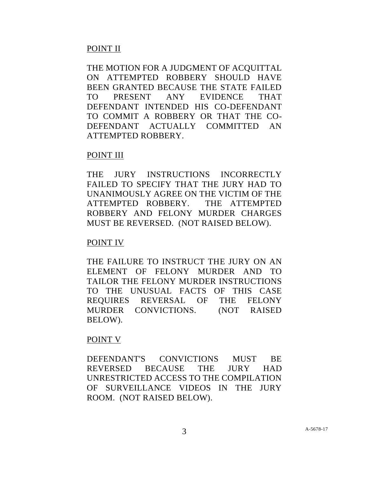## POINT II

THE MOTION FOR A JUDGMENT OF ACOUITTAL ON ATTEMPTED ROBBERY SHOULD HAVE BEEN GRANTED BECAUSE THE STATE FAILED TO PRESENT ANY EVIDENCE THAT DEFENDANT INTENDED HIS CO-DEFENDANT TO COMMIT A ROBBERY OR THAT THE CO-DEFENDANT ACTUALLY COMMITTED AN ATTEMPTED ROBBERY.

## POINT III

THE JURY INSTRUCTIONS INCORRECTLY FAILED TO SPECIFY THAT THE JURY HAD TO UNANIMOUSLY AGREE ON THE VICTIM OF THE ATTEMPTED ROBBERY. THE ATTEMPTED ROBBERY AND FELONY MURDER CHARGES MUST BE REVERSED. (NOT RAISED BELOW).

## POINT IV

THE FAILURE TO INSTRUCT THE JURY ON AN ELEMENT OF FELONY MURDER AND TO TAILOR THE FELONY MURDER INSTRUCTIONS TO THE UNUSUAL FACTS OF THIS CASE REQUIRES REVERSAL OF THE FELONY MURDER CONVICTIONS. (NOT RAISED BELOW).

## POINT V

DEFENDANT'S CONVICTIONS MUST BE REVERSED BECAUSE THE JURY HAD UNRESTRICTED ACCESS TO THE COMPILATION OF SURVEILLANCE VIDEOS IN THE JURY ROOM. (NOT RAISED BELOW).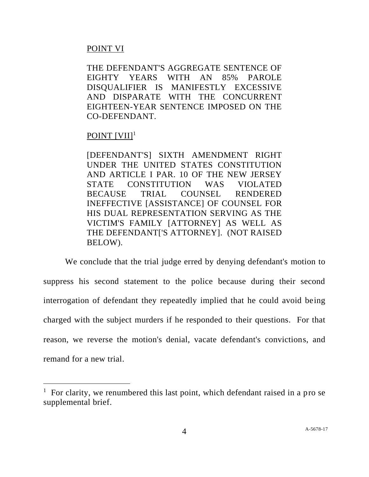### POINT VI

THE DEFENDANT'S AGGREGATE SENTENCE OF EIGHTY YEARS WITH AN 85% PAROLE DISQUALIFIER IS MANIFESTLY EXCESSIVE AND DISPARATE WITH THE CONCURRENT EIGHTEEN-YEAR SENTENCE IMPOSED ON THE CO-DEFENDANT.

# POINT [VII]<sup>1</sup>

[DEFENDANT'S] SIXTH AMENDMENT RIGHT UNDER THE UNITED STATES CONSTITUTION AND ARTICLE I PAR. 10 OF THE NEW JERSEY STATE CONSTITUTION WAS VIOLATED BECAUSE TRIAL COUNSEL RENDERED INEFFECTIVE [ASSISTANCE] OF COUNSEL FOR HIS DUAL REPRESENTATION SERVING AS THE VICTIM'S FAMILY [ATTORNEY] AS WELL AS THE DEFENDANT['S ATTORNEY]. (NOT RAISED BELOW).

We conclude that the trial judge erred by denying defendant's motion to suppress his second statement to the police because during their second interrogation of defendant they repeatedly implied that he could avoid being charged with the subject murders if he responded to their questions. For that reason, we reverse the motion's denial, vacate defendant's convictions, and remand for a new trial.

<sup>&</sup>lt;sup>1</sup> For clarity, we renumbered this last point, which defendant raised in a pro se supplemental brief.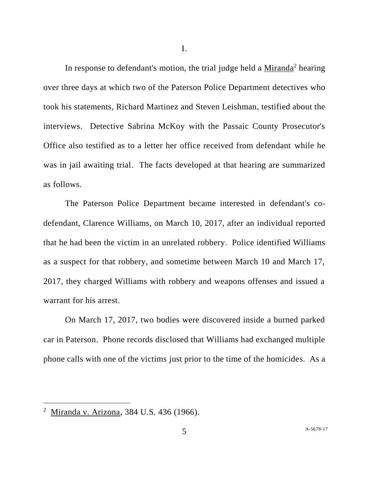I.

In response to defendant's motion, the trial judge held a Miranda<sup>2</sup> hearing over three days at which two of the Paterson Police Department detectives who took his statements, Richard Martinez and Steven Leishman, testified about the interviews. Detective Sabrina McKoy with the Passaic County Prosecutor's Office also testified as to a letter her office received from defendant while he was in jail awaiting trial. The facts developed at that hearing are summarized as follows.

The Paterson Police Department became interested in defendant's codefendant, Clarence Williams, on March 10, 2017, after an individual reported that he had been the victim in an unrelated robbery. Police identified Williams as a suspect for that robbery, and sometime between March 10 and March 17, 2017, they charged Williams with robbery and weapons offenses and issued a warrant for his arrest.

On March 17, 2017, two bodies were discovered inside a burned parked car in Paterson. Phone records disclosed that Williams had exchanged multiple phone calls with one of the victims just prior to the time of the homicides. As a

<sup>&</sup>lt;sup>2</sup> Miranda v. Arizona, 384 U.S. 436 (1966).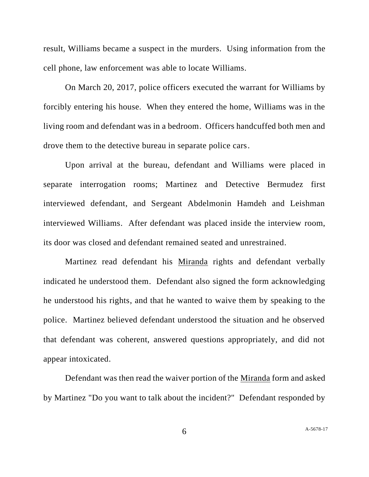result, Williams became a suspect in the murders. Using information from the cell phone, law enforcement was able to locate Williams.

On March 20, 2017, police officers executed the warrant for Williams by forcibly entering his house. When they entered the home, Williams was in the living room and defendant was in a bedroom. Officers handcuffed both men and drove them to the detective bureau in separate police cars.

Upon arrival at the bureau, defendant and Williams were placed in separate interrogation rooms; Martinez and Detective Bermudez first interviewed defendant, and Sergeant Abdelmonin Hamdeh and Leishman interviewed Williams. After defendant was placed inside the interview room, its door was closed and defendant remained seated and unrestrained.

Martinez read defendant his Miranda rights and defendant verbally indicated he understood them. Defendant also signed the form acknowledging he understood his rights, and that he wanted to waive them by speaking to the police. Martinez believed defendant understood the situation and he observed that defendant was coherent, answered questions appropriately, and did not appear intoxicated.

Defendant was then read the waiver portion of the Miranda form and asked by Martinez "Do you want to talk about the incident?" Defendant responded by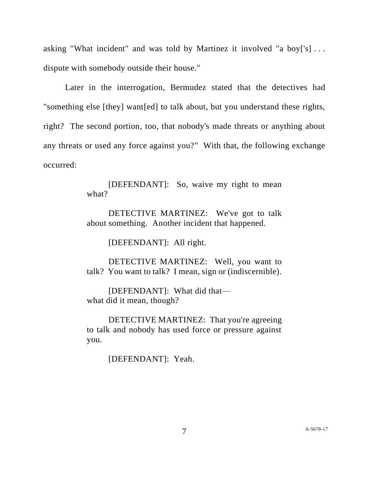asking "What incident" and was told by Martinez it involved "a boy['s] . . . dispute with somebody outside their house."

Later in the interrogation, Bermudez stated that the detectives had "something else [they] want[ed] to talk about, but you understand these rights, right? The second portion, too, that nobody's made threats or anything about any threats or used any force against you?" With that, the following exchange occurred:

> [DEFENDANT]: So, waive my right to mean what?

> DETECTIVE MARTINEZ: We've got to talk about something. Another incident that happened.

> > [DEFENDANT]: All right.

DETECTIVE MARTINEZ: Well, you want to talk? You want to talk? I mean, sign or (indiscernible).

[DEFENDANT]: What did that what did it mean, though?

DETECTIVE MARTINEZ: That you're agreeing to talk and nobody has used force or pressure against you.

[DEFENDANT]: Yeah.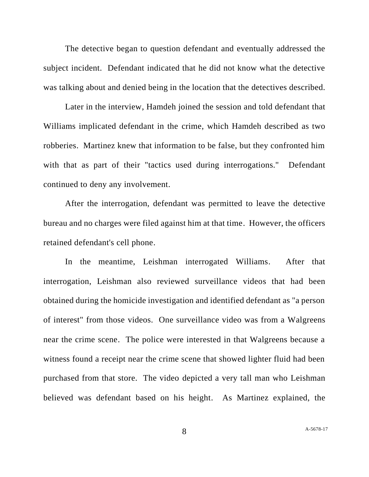The detective began to question defendant and eventually addressed the subject incident. Defendant indicated that he did not know what the detective was talking about and denied being in the location that the detectives described.

Later in the interview, Hamdeh joined the session and told defendant that Williams implicated defendant in the crime, which Hamdeh described as two robberies. Martinez knew that information to be false, but they confronted him with that as part of their "tactics used during interrogations." Defendant continued to deny any involvement.

After the interrogation, defendant was permitted to leave the detective bureau and no charges were filed against him at that time. However, the officers retained defendant's cell phone.

In the meantime, Leishman interrogated Williams. After that interrogation, Leishman also reviewed surveillance videos that had been obtained during the homicide investigation and identified defendant as "a person of interest" from those videos. One surveillance video was from a Walgreens near the crime scene. The police were interested in that Walgreens because a witness found a receipt near the crime scene that showed lighter fluid had been purchased from that store. The video depicted a very tall man who Leishman believed was defendant based on his height. As Martinez explained, the

8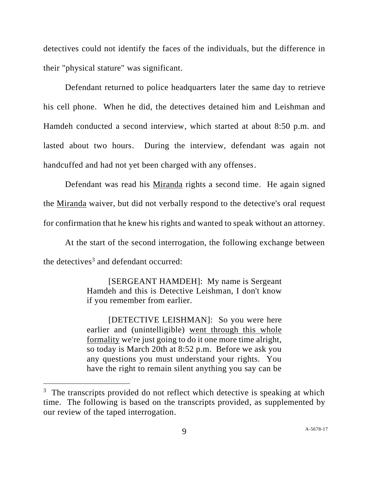detectives could not identify the faces of the individuals, but the difference in their "physical stature" was significant.

Defendant returned to police headquarters later the same day to retrieve his cell phone. When he did, the detectives detained him and Leishman and Hamdeh conducted a second interview, which started at about 8:50 p.m. and lasted about two hours. During the interview, defendant was again not handcuffed and had not yet been charged with any offenses.

Defendant was read his Miranda rights a second time. He again signed the Miranda waiver, but did not verbally respond to the detective's oral request for confirmation that he knew his rights and wanted to speak without an attorney.

At the start of the second interrogation, the following exchange between the detectives<sup>3</sup> and defendant occurred:

> [SERGEANT HAMDEH]: My name is Sergeant Hamdeh and this is Detective Leishman, I don't know if you remember from earlier.

> [DETECTIVE LEISHMAN]: So you were here earlier and (unintelligible) went through this whole formality we're just going to do it one more time alright, so today is March 20th at 8:52 p.m. Before we ask you any questions you must understand your rights. You have the right to remain silent anything you say can be

<sup>&</sup>lt;sup>3</sup> The transcripts provided do not reflect which detective is speaking at which time. The following is based on the transcripts provided, as supplemented by our review of the taped interrogation.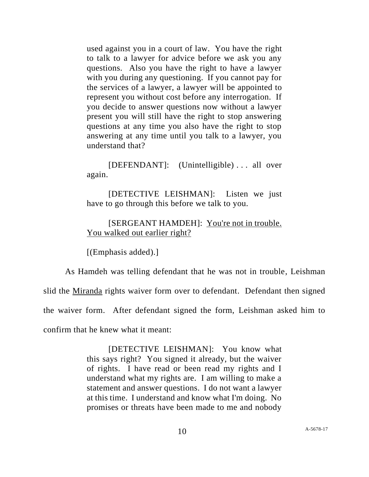used against you in a court of law. You have the right to talk to a lawyer for advice before we ask you any questions. Also you have the right to have a lawyer with you during any questioning. If you cannot pay for the services of a lawyer, a lawyer will be appointed to represent you without cost before any interrogation. If you decide to answer questions now without a lawyer present you will still have the right to stop answering questions at any time you also have the right to stop answering at any time until you talk to a lawyer, you understand that?

[DEFENDANT]: (Unintelligible) . . . all over again.

[DETECTIVE LEISHMAN]: Listen we just have to go through this before we talk to you.

### [SERGEANT HAMDEH]: You're not in trouble. You walked out earlier right?

[(Emphasis added).]

As Hamdeh was telling defendant that he was not in trouble, Leishman

slid the Miranda rights waiver form over to defendant. Defendant then signed

the waiver form. After defendant signed the form, Leishman asked him to

confirm that he knew what it meant:

[DETECTIVE LEISHMAN]: You know what this says right? You signed it already, but the waiver of rights. I have read or been read my rights and I understand what my rights are. I am willing to make a statement and answer questions. I do not want a lawyer at this time. I understand and know what I'm doing. No promises or threats have been made to me and nobody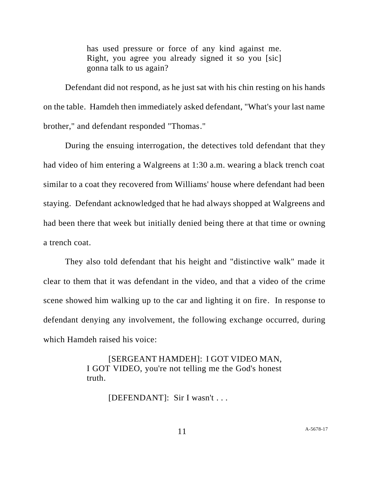has used pressure or force of any kind against me. Right, you agree you already signed it so you [sic] gonna talk to us again?

Defendant did not respond, as he just sat with his chin resting on his hands on the table. Hamdeh then immediately asked defendant, "What's your last name brother," and defendant responded "Thomas."

During the ensuing interrogation, the detectives told defendant that they had video of him entering a Walgreens at 1:30 a.m. wearing a black trench coat similar to a coat they recovered from Williams' house where defendant had been staying. Defendant acknowledged that he had always shopped at Walgreens and had been there that week but initially denied being there at that time or owning a trench coat.

They also told defendant that his height and "distinctive walk" made it clear to them that it was defendant in the video, and that a video of the crime scene showed him walking up to the car and lighting it on fire. In response to defendant denying any involvement, the following exchange occurred, during which Hamdeh raised his voice:

> [SERGEANT HAMDEH]: I GOT VIDEO MAN, I GOT VIDEO, you're not telling me the God's honest truth.

> > [DEFENDANT]: Sir I wasn't . . .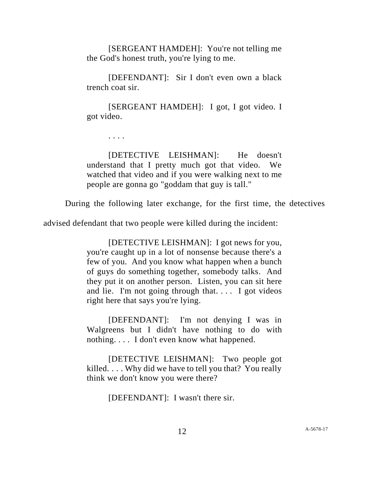[SERGEANT HAMDEH]: You're not telling me the God's honest truth, you're lying to me.

[DEFENDANT]: Sir I don't even own a black trench coat sir.

[SERGEANT HAMDEH]: I got, I got video. I got video.

. . . .

[DETECTIVE LEISHMAN]: He doesn't understand that I pretty much got that video. We watched that video and if you were walking next to me people are gonna go "goddam that guy is tall."

During the following later exchange, for the first time, the detectives

advised defendant that two people were killed during the incident:

[DETECTIVE LEISHMAN]: I got news for you, you're caught up in a lot of nonsense because there's a few of you. And you know what happen when a bunch of guys do something together, somebody talks. And they put it on another person. Listen, you can sit here and lie. I'm not going through that. . . . I got videos right here that says you're lying.

[DEFENDANT]: I'm not denying I was in Walgreens but I didn't have nothing to do with nothing. . . . I don't even know what happened.

[DETECTIVE LEISHMAN]: Two people got killed. . . . Why did we have to tell you that? You really think we don't know you were there?

[DEFENDANT]: I wasn't there sir.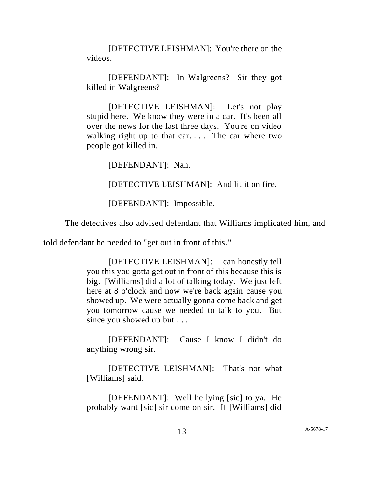[DETECTIVE LEISHMAN]: You're there on the videos.

[DEFENDANT]: In Walgreens? Sir they got killed in Walgreens?

[DETECTIVE LEISHMAN]: Let's not play stupid here. We know they were in a car. It's been all over the news for the last three days. You're on video walking right up to that car.... The car where two people got killed in.

[DEFENDANT]: Nah.

[DETECTIVE LEISHMAN]: And lit it on fire.

[DEFENDANT]: Impossible.

The detectives also advised defendant that Williams implicated him, and

told defendant he needed to "get out in front of this."

[DETECTIVE LEISHMAN]: I can honestly tell you this you gotta get out in front of this because this is big. [Williams] did a lot of talking today. We just left here at 8 o'clock and now we're back again cause you showed up. We were actually gonna come back and get you tomorrow cause we needed to talk to you. But since you showed up but . . .

[DEFENDANT]: Cause I know I didn't do anything wrong sir.

[DETECTIVE LEISHMAN]: That's not what [Williams] said.

[DEFENDANT]: Well he lying [sic] to ya. He probably want [sic] sir come on sir. If [Williams] did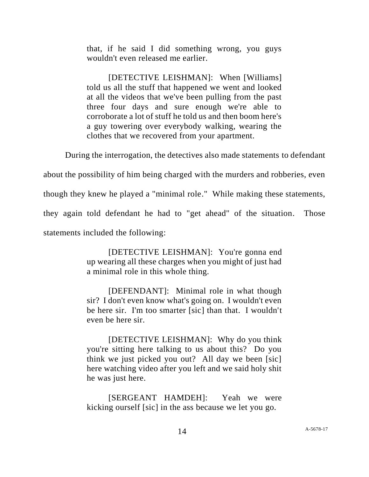that, if he said I did something wrong, you guys wouldn't even released me earlier.

[DETECTIVE LEISHMAN]: When [Williams] told us all the stuff that happened we went and looked at all the videos that we've been pulling from the past three four days and sure enough we're able to corroborate a lot of stuff he told us and then boom here's a guy towering over everybody walking, wearing the clothes that we recovered from your apartment.

During the interrogation, the detectives also made statements to defendant

about the possibility of him being charged with the murders and robberies, even

though they knew he played a "minimal role." While making these statements,

they again told defendant he had to "get ahead" of the situation. Those

statements included the following:

[DETECTIVE LEISHMAN]: You're gonna end up wearing all these charges when you might of just had a minimal role in this whole thing.

[DEFENDANT]: Minimal role in what though sir? I don't even know what's going on. I wouldn't even be here sir. I'm too smarter [sic] than that. I wouldn't even be here sir.

[DETECTIVE LEISHMAN]: Why do you think you're sitting here talking to us about this? Do you think we just picked you out? All day we been [sic] here watching video after you left and we said holy shit he was just here.

[SERGEANT HAMDEH]: Yeah we were kicking ourself [sic] in the ass because we let you go.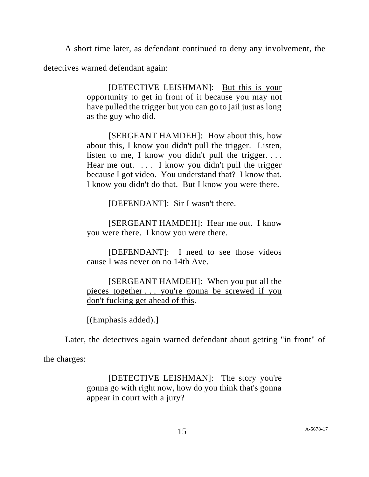A short time later, as defendant continued to deny any involvement, the

detectives warned defendant again:

[DETECTIVE LEISHMAN]: But this is your opportunity to get in front of it because you may not have pulled the trigger but you can go to jail just as long as the guy who did.

[SERGEANT HAMDEH]: How about this, how about this, I know you didn't pull the trigger. Listen, listen to me, I know you didn't pull the trigger.... Hear me out. ... I know you didn't pull the trigger because I got video. You understand that? I know that. I know you didn't do that. But I know you were there.

[DEFENDANT]: Sir I wasn't there.

[SERGEANT HAMDEH]: Hear me out. I know you were there. I know you were there.

[DEFENDANT]: I need to see those videos cause I was never on no 14th Ave.

[SERGEANT HAMDEH]: When you put all the pieces together . . . you're gonna be screwed if you don't fucking get ahead of this.

[(Emphasis added).]

Later, the detectives again warned defendant about getting "in front" of

the charges:

[DETECTIVE LEISHMAN]: The story you're gonna go with right now, how do you think that's gonna appear in court with a jury?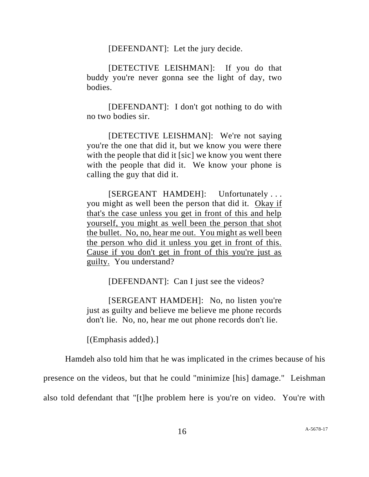[DEFENDANT]: Let the jury decide.

[DETECTIVE LEISHMAN]: If you do that buddy you're never gonna see the light of day, two bodies.

[DEFENDANT]: I don't got nothing to do with no two bodies sir.

[DETECTIVE LEISHMAN]: We're not saying you're the one that did it, but we know you were there with the people that did it [sic] we know you went there with the people that did it. We know your phone is calling the guy that did it.

[SERGEANT HAMDEH]: Unfortunately . . . you might as well been the person that did it. Okay if that's the case unless you get in front of this and help yourself, you might as well been the person that shot the bullet. No, no, hear me out. You might as well been the person who did it unless you get in front of this. Cause if you don't get in front of this you're just as guilty. You understand?

[DEFENDANT]: Can I just see the videos?

[SERGEANT HAMDEH]: No, no listen you're just as guilty and believe me believe me phone records don't lie. No, no, hear me out phone records don't lie.

[(Emphasis added).]

Hamdeh also told him that he was implicated in the crimes because of his

presence on the videos, but that he could "minimize [his] damage." Leishman

also told defendant that "[t]he problem here is you're on video. You're with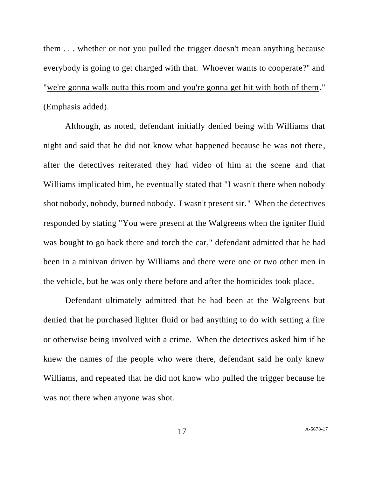them . . . whether or not you pulled the trigger doesn't mean anything because everybody is going to get charged with that. Whoever wants to cooperate?" and "we're gonna walk outta this room and you're gonna get hit with both of them." (Emphasis added).

Although, as noted, defendant initially denied being with Williams that night and said that he did not know what happened because he was not there, after the detectives reiterated they had video of him at the scene and that Williams implicated him, he eventually stated that "I wasn't there when nobody shot nobody, nobody, burned nobody. I wasn't present sir." When the detectives responded by stating "You were present at the Walgreens when the igniter fluid was bought to go back there and torch the car," defendant admitted that he had been in a minivan driven by Williams and there were one or two other men in the vehicle, but he was only there before and after the homicides took place.

Defendant ultimately admitted that he had been at the Walgreens but denied that he purchased lighter fluid or had anything to do with setting a fire or otherwise being involved with a crime. When the detectives asked him if he knew the names of the people who were there, defendant said he only knew Williams, and repeated that he did not know who pulled the trigger because he was not there when anyone was shot.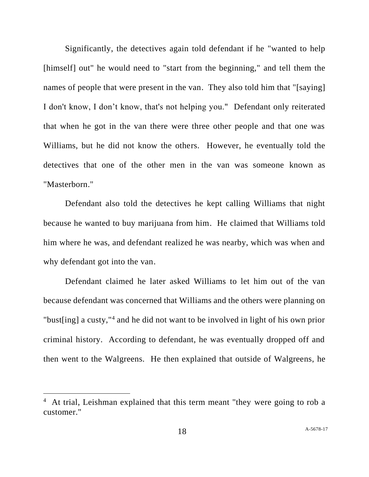Significantly, the detectives again told defendant if he "wanted to help [himself] out" he would need to "start from the beginning," and tell them the names of people that were present in the van. They also told him that "[saying] I don't know, I don't know, that's not helping you." Defendant only reiterated that when he got in the van there were three other people and that one was Williams, but he did not know the others. However, he eventually told the detectives that one of the other men in the van was someone known as "Masterborn."

Defendant also told the detectives he kept calling Williams that night because he wanted to buy marijuana from him. He claimed that Williams told him where he was, and defendant realized he was nearby, which was when and why defendant got into the van.

Defendant claimed he later asked Williams to let him out of the van because defendant was concerned that Williams and the others were planning on "bust[ing] a custy,"<sup>4</sup> and he did not want to be involved in light of his own prior criminal history. According to defendant, he was eventually dropped off and then went to the Walgreens. He then explained that outside of Walgreens, he

<sup>&</sup>lt;sup>4</sup> At trial, Leishman explained that this term meant "they were going to rob a customer."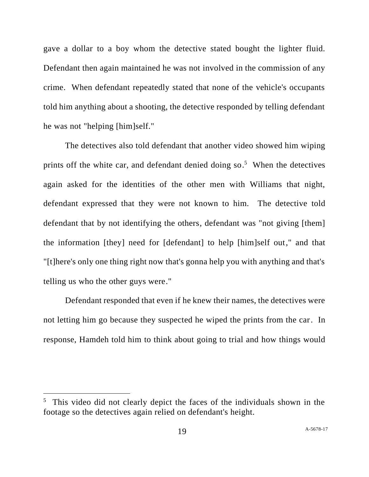gave a dollar to a boy whom the detective stated bought the lighter fluid. Defendant then again maintained he was not involved in the commission of any crime. When defendant repeatedly stated that none of the vehicle's occupants told him anything about a shooting, the detective responded by telling defendant he was not "helping [him]self."

The detectives also told defendant that another video showed him wiping prints off the white car, and defendant denied doing so.<sup>5</sup> When the detectives again asked for the identities of the other men with Williams that night, defendant expressed that they were not known to him. The detective told defendant that by not identifying the others, defendant was "not giving [them] the information [they] need for [defendant] to help [him]self out," and that "[t]here's only one thing right now that's gonna help you with anything and that's telling us who the other guys were."

Defendant responded that even if he knew their names, the detectives were not letting him go because they suspected he wiped the prints from the car. In response, Hamdeh told him to think about going to trial and how things would

<sup>&</sup>lt;sup>5</sup> This video did not clearly depict the faces of the individuals shown in the footage so the detectives again relied on defendant's height.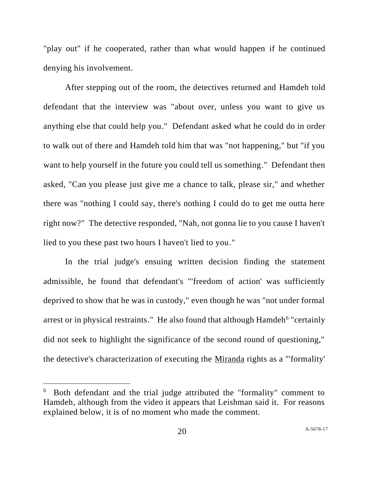"play out" if he cooperated, rather than what would happen if he continued denying his involvement.

After stepping out of the room, the detectives returned and Hamdeh told defendant that the interview was "about over, unless you want to give us anything else that could help you." Defendant asked what he could do in order to walk out of there and Hamdeh told him that was "not happening," but "if you want to help yourself in the future you could tell us something." Defendant then asked, "Can you please just give me a chance to talk, please sir," and whether there was "nothing I could say, there's nothing I could do to get me outta here right now?" The detective responded, "Nah, not gonna lie to you cause I haven't lied to you these past two hours I haven't lied to you."

In the trial judge's ensuing written decision finding the statement admissible, he found that defendant's "'freedom of action' was sufficiently deprived to show that he was in custody," even though he was "not under formal arrest or in physical restraints." He also found that although Hamdeh<sup>6</sup> "certainly did not seek to highlight the significance of the second round of questioning," the detective's characterization of executing the Miranda rights as a "'formality'

<sup>&</sup>lt;sup>6</sup> Both defendant and the trial judge attributed the "formality" comment to Hamdeh, although from the video it appears that Leishman said it. For reasons explained below, it is of no moment who made the comment.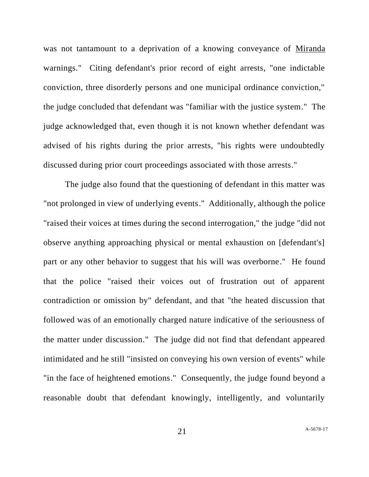was not tantamount to a deprivation of a knowing conveyance of Miranda warnings." Citing defendant's prior record of eight arrests, "one indictable conviction, three disorderly persons and one municipal ordinance conviction," the judge concluded that defendant was "familiar with the justice system." The judge acknowledged that, even though it is not known whether defendant was advised of his rights during the prior arrests, "his rights were undoubtedly discussed during prior court proceedings associated with those arrests."

The judge also found that the questioning of defendant in this matter was "not prolonged in view of underlying events." Additionally, although the police "raised their voices at times during the second interrogation," the judge "did not observe anything approaching physical or mental exhaustion on [defendant's] part or any other behavior to suggest that his will was overborne." He found that the police "raised their voices out of frustration out of apparent contradiction or omission by" defendant, and that "the heated discussion that followed was of an emotionally charged nature indicative of the seriousness of the matter under discussion." The judge did not find that defendant appeared intimidated and he still "insisted on conveying his own version of events" while "in the face of heightened emotions." Consequently, the judge found beyond a reasonable doubt that defendant knowingly, intelligently, and voluntarily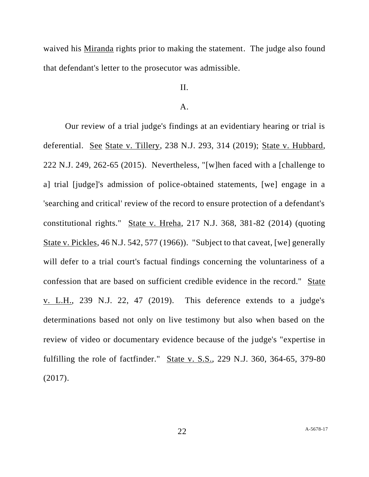waived his Miranda rights prior to making the statement. The judge also found that defendant's letter to the prosecutor was admissible.

### II.

#### A.

Our review of a trial judge's findings at an evidentiary hearing or trial is deferential. See State v. Tillery, 238 N.J. 293, 314 (2019); State v. Hubbard, 222 N.J. 249, 262-65 (2015). Nevertheless, "[w]hen faced with a [challenge to a] trial [judge]'s admission of police-obtained statements, [we] engage in a 'searching and critical' review of the record to ensure protection of a defendant's constitutional rights." State v. Hreha, 217 N.J. 368, 381-82 (2014) (quoting State v. Pickles, 46 N.J. 542, 577 (1966)). "Subject to that caveat, [we] generally will defer to a trial court's factual findings concerning the voluntariness of a confession that are based on sufficient credible evidence in the record." State <u>v. L.H.</u>, 239 N.J. 22, 47 (2019). This deference extends to a judge's determinations based not only on live testimony but also when based on the review of video or documentary evidence because of the judge's "expertise in fulfilling the role of factfinder." State v. S.S., 229 N.J. 360, 364-65, 379-80 (2017).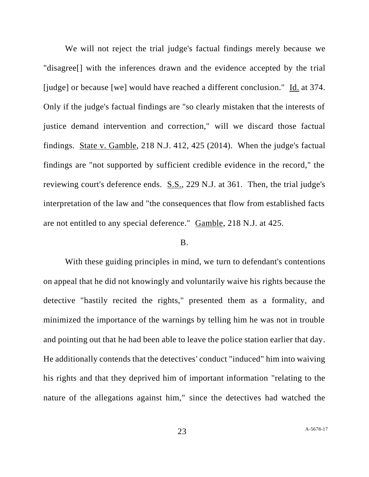We will not reject the trial judge's factual findings merely because we "disagree[] with the inferences drawn and the evidence accepted by the trial [judge] or because [we] would have reached a different conclusion." Id. at 374. Only if the judge's factual findings are "so clearly mistaken that the interests of justice demand intervention and correction," will we discard those factual findings. State v. Gamble, 218 N.J. 412, 425 (2014). When the judge's factual findings are "not supported by sufficient credible evidence in the record," the reviewing court's deference ends. S.S., 229 N.J. at 361. Then, the trial judge's interpretation of the law and "the consequences that flow from established facts are not entitled to any special deference." Gamble, 218 N.J. at 425.

#### B.

With these guiding principles in mind, we turn to defendant's contentions on appeal that he did not knowingly and voluntarily waive his rights because the detective "hastily recited the rights," presented them as a formality, and minimized the importance of the warnings by telling him he was not in trouble and pointing out that he had been able to leave the police station earlier that day. He additionally contends that the detectives' conduct "induced" him into waiving his rights and that they deprived him of important information "relating to the nature of the allegations against him," since the detectives had watched the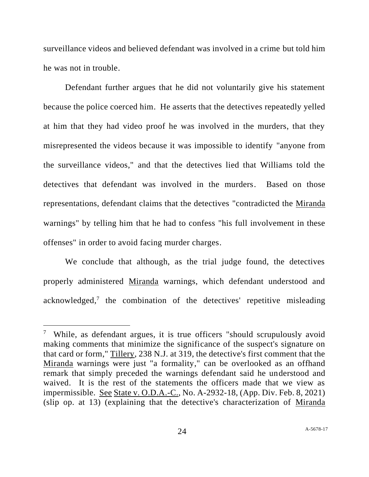surveillance videos and believed defendant was involved in a crime but told him he was not in trouble.

Defendant further argues that he did not voluntarily give his statement because the police coerced him. He asserts that the detectives repeatedly yelled at him that they had video proof he was involved in the murders, that they misrepresented the videos because it was impossible to identify "anyone from the surveillance videos," and that the detectives lied that Williams told the detectives that defendant was involved in the murders. Based on those representations, defendant claims that the detectives "contradicted the Miranda warnings" by telling him that he had to confess "his full involvement in these offenses" in order to avoid facing murder charges.

We conclude that although, as the trial judge found, the detectives properly administered Miranda warnings, which defendant understood and acknowledged, 7 the combination of the detectives' repetitive misleading

<sup>&</sup>lt;sup>7</sup> While, as defendant argues, it is true officers "should scrupulously avoid making comments that minimize the significance of the suspect's signature on that card or form," Tillery, 238 N.J. at 319, the detective's first comment that the Miranda warnings were just "a formality," can be overlooked as an offhand remark that simply preceded the warnings defendant said he understood and waived. It is the rest of the statements the officers made that we view as impermissible. See State v. O.D.A.-C., No. A-2932-18, (App. Div. Feb. 8, 2021) (slip op. at 13) (explaining that the detective's characterization of Miranda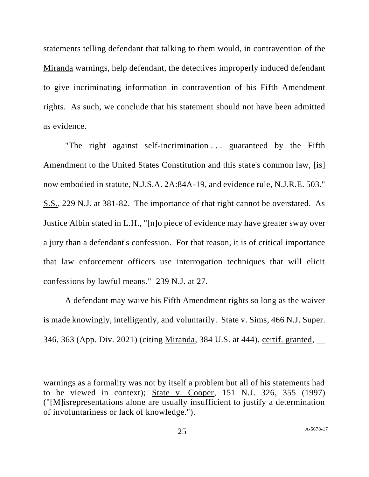statements telling defendant that talking to them would, in contravention of the Miranda warnings, help defendant, the detectives improperly induced defendant to give incriminating information in contravention of his Fifth Amendment rights. As such, we conclude that his statement should not have been admitted as evidence.

"The right against self-incrimination  $\ldots$  guaranteed by the Fifth Amendment to the United States Constitution and this state's common law, [is] now embodied in statute, N.J.S.A. 2A:84A-19, and evidence rule, N.J.R.E. 503." S.S., 229 N.J. at 381-82. The importance of that right cannot be overstated. As Justice Albin stated in L.H., "[n]o piece of evidence may have greater sway over a jury than a defendant's confession. For that reason, it is of critical importance that law enforcement officers use interrogation techniques that will elicit confessions by lawful means." 239 N.J. at 27.

A defendant may waive his Fifth Amendment rights so long as the waiver is made knowingly, intelligently, and voluntarily. State v. Sims, 466 N.J. Super. 346, 363 (App. Div. 2021) (citing Miranda, 384 U.S. at 444), certif. granted, \_\_

warnings as a formality was not by itself a problem but all of his statements had to be viewed in context); State v. Cooper, 151 N.J. 326, 355 (1997) ("[M]isrepresentations alone are usually insufficient to justify a determination of involuntariness or lack of knowledge.").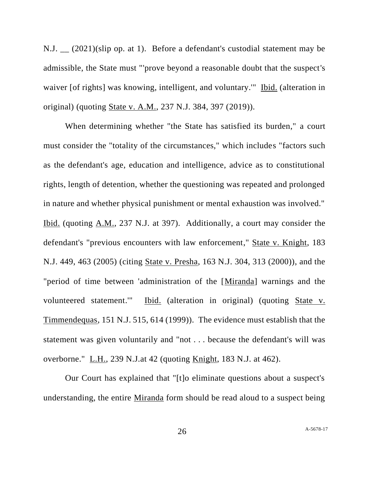N.J. \_\_ (2021)(slip op. at 1). Before a defendant's custodial statement may be admissible, the State must "'prove beyond a reasonable doubt that the suspect's waiver [of rights] was knowing, intelligent, and voluntary.'" Ibid. (alteration in original) (quoting State v. A.M., 237 N.J. 384, 397 (2019)).

When determining whether "the State has satisfied its burden," a court must consider the "totality of the circumstances," which includes "factors such as the defendant's age, education and intelligence, advice as to constitutional rights, length of detention, whether the questioning was repeated and prolonged in nature and whether physical punishment or mental exhaustion was involved." Ibid. (quoting A.M., 237 N.J. at 397). Additionally, a court may consider the defendant's "previous encounters with law enforcement," State v. Knight, 183 N.J. 449, 463 (2005) (citing State v. Presha, 163 N.J. 304, 313 (2000)), and the "period of time between 'administration of the [Miranda] warnings and the volunteered statement." Ibid. (alteration in original) (quoting State v. Timmendequas, 151 N.J. 515, 614 (1999)). The evidence must establish that the statement was given voluntarily and "not . . . because the defendant's will was overborne." L.H., 239 N.J.at 42 (quoting Knight, 183 N.J. at 462).

Our Court has explained that "[t]o eliminate questions about a suspect's understanding, the entire Miranda form should be read aloud to a suspect being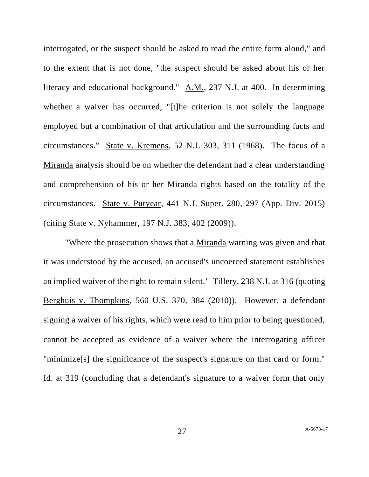interrogated, or the suspect should be asked to read the entire form aloud," and to the extent that is not done, "the suspect should be asked about his or her literacy and educational background."  $\underline{A.M.}$ , 237 N.J. at 400. In determining whether a waiver has occurred, "[t]he criterion is not solely the language employed but a combination of that articulation and the surrounding facts and circumstances." State v. Kremens, 52 N.J. 303, 311 (1968). The focus of a Miranda analysis should be on whether the defendant had a clear understanding and comprehension of his or her Miranda rights based on the totality of the circumstances. State v. Puryear, 441 N.J. Super. 280, 297 (App. Div. 2015) (citing State v. Nyhammer, 197 N.J. 383, 402 (2009)).

"Where the prosecution shows that a Miranda warning was given and that it was understood by the accused, an accused's uncoerced statement establishes an implied waiver of the right to remain silent." Tillery, 238 N.J. at 316 (quoting Berghuis v. Thompkins, 560 U.S. 370, 384 (2010)). However, a defendant signing a waiver of his rights, which were read to him prior to being questioned, cannot be accepted as evidence of a waiver where the interrogating officer "minimize[s] the significance of the suspect's signature on that card or form." Id. at 319 (concluding that a defendant's signature to a waiver form that only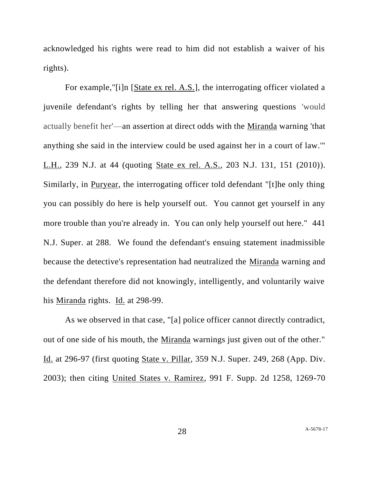acknowledged his rights were read to him did not establish a waiver of his rights).

For example,"[i]n [State ex rel. A.S.], the interrogating officer violated a juvenile defendant's rights by telling her that answering questions 'would actually benefit her'—an assertion at direct odds with the Miranda warning 'that anything she said in the interview could be used against her in a court of law.'" L.H., 239 N.J. at 44 (quoting State ex rel. A.S., 203 N.J. 131, 151 (2010)). Similarly, in Puryear, the interrogating officer told defendant "[t]he only thing you can possibly do here is help yourself out. You cannot get yourself in any more trouble than you're already in. You can only help yourself out here." 441 N.J. Super. at 288. We found the defendant's ensuing statement inadmissible because the detective's representation had neutralized the Miranda warning and the defendant therefore did not knowingly, intelligently, and voluntarily waive his <u>Miranda</u> rights. Id. at 298-99.

As we observed in that case, "[a] police officer cannot directly contradict, out of one side of his mouth, the Miranda warnings just given out of the other." Id. at 296-97 (first quoting State v. Pillar, 359 N.J. Super. 249, 268 (App. Div. 2003); then citing United States v. Ramirez, 991 F. Supp. 2d 1258, 1269-70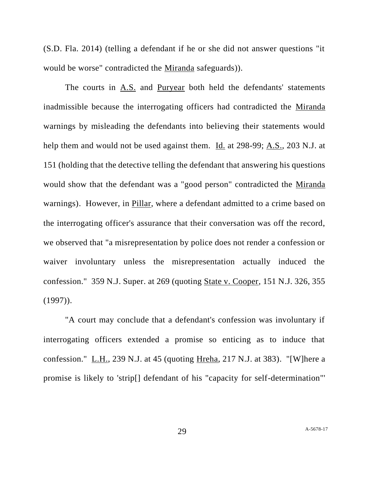(S.D. Fla. 2014) (telling a defendant if he or she did not answer questions "it would be worse" contradicted the Miranda safeguards)).

The courts in A.S. and Puryear both held the defendants' statements inadmissible because the interrogating officers had contradicted the Miranda warnings by misleading the defendants into believing their statements would help them and would not be used against them. Id. at 298-99; A.S., 203 N.J. at 151 (holding that the detective telling the defendant that answering his questions would show that the defendant was a "good person" contradicted the Miranda warnings). However, in Pillar, where a defendant admitted to a crime based on the interrogating officer's assurance that their conversation was off the record, we observed that "a misrepresentation by police does not render a confession or waiver involuntary unless the misrepresentation actually induced the confession." 359 N.J. Super. at 269 (quoting State v. Cooper, 151 N.J. 326, 355  $(1997)$ ).

"A court may conclude that a defendant's confession was involuntary if interrogating officers extended a promise so enticing as to induce that confession." L.H., 239 N.J. at 45 (quoting Hreha, 217 N.J. at 383). "[W]here a promise is likely to 'strip[] defendant of his "capacity for self-determination"'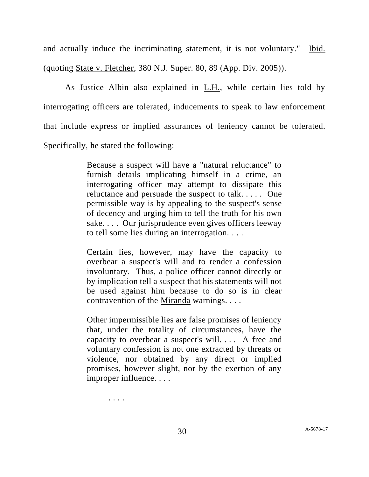and actually induce the incriminating statement, it is not voluntary." Ibid. (quoting State v. Fletcher, 380 N.J. Super. 80, 89 (App. Div. 2005)).

As Justice Albin also explained in L.H., while certain lies told by interrogating officers are tolerated, inducements to speak to law enforcement that include express or implied assurances of leniency cannot be tolerated. Specifically, he stated the following:

> Because a suspect will have a "natural reluctance" to furnish details implicating himself in a crime, an interrogating officer may attempt to dissipate this reluctance and persuade the suspect to talk. . . . . One permissible way is by appealing to the suspect's sense of decency and urging him to tell the truth for his own sake. . . . Our jurisprudence even gives officers leeway to tell some lies during an interrogation. . . .

> Certain lies, however, may have the capacity to overbear a suspect's will and to render a confession involuntary. Thus, a police officer cannot directly or by implication tell a suspect that his statements will not be used against him because to do so is in clear contravention of the <u>Miranda</u> warnings. . . .

> Other impermissible lies are false promises of leniency that, under the totality of circumstances, have the capacity to overbear a suspect's will. . . . A free and voluntary confession is not one extracted by threats or violence, nor obtained by any direct or implied promises, however slight, nor by the exertion of any improper influence. . . .

> > . . . .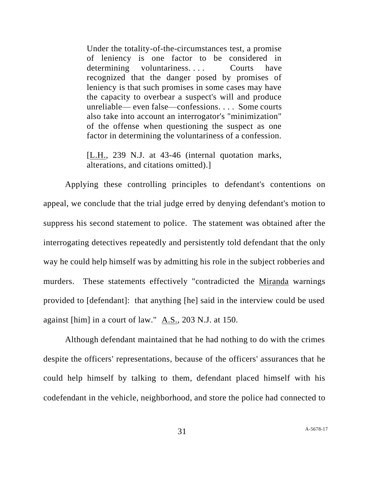Under the totality-of-the-circumstances test, a promise of leniency is one factor to be considered in determining voluntariness.... Courts have recognized that the danger posed by promises of leniency is that such promises in some cases may have the capacity to overbear a suspect's will and produce unreliable— even false—confessions. . . . Some courts also take into account an interrogator's "minimization" of the offense when questioning the suspect as one factor in determining the voluntariness of a confession.

[L.H., 239 N.J. at 43-46 (internal quotation marks, alterations, and citations omitted).]

Applying these controlling principles to defendant's contentions on appeal, we conclude that the trial judge erred by denying defendant's motion to suppress his second statement to police. The statement was obtained after the interrogating detectives repeatedly and persistently told defendant that the only way he could help himself was by admitting his role in the subject robberies and murders. These statements effectively "contradicted the Miranda warnings provided to [defendant]: that anything [he] said in the interview could be used against [him] in a court of law." A.S., 203 N.J. at 150.

Although defendant maintained that he had nothing to do with the crimes despite the officers' representations, because of the officers' assurances that he could help himself by talking to them, defendant placed himself with his codefendant in the vehicle, neighborhood, and store the police had connected to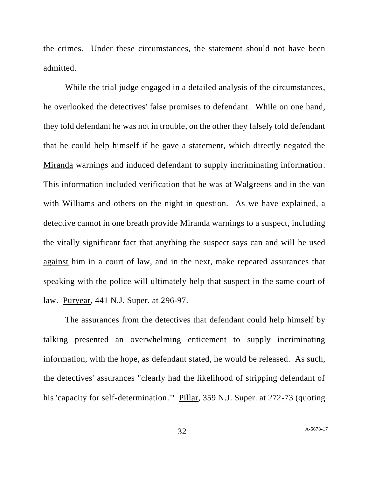the crimes. Under these circumstances, the statement should not have been admitted.

While the trial judge engaged in a detailed analysis of the circumstances, he overlooked the detectives' false promises to defendant. While on one hand, they told defendant he was not in trouble, on the other they falsely told defendant that he could help himself if he gave a statement, which directly negated the Miranda warnings and induced defendant to supply incriminating information. This information included verification that he was at Walgreens and in the van with Williams and others on the night in question. As we have explained, a detective cannot in one breath provide Miranda warnings to a suspect, including the vitally significant fact that anything the suspect says can and will be used against him in a court of law, and in the next, make repeated assurances that speaking with the police will ultimately help that suspect in the same court of law. Puryear, 441 N.J. Super. at 296-97.

The assurances from the detectives that defendant could help himself by talking presented an overwhelming enticement to supply incriminating information, with the hope, as defendant stated, he would be released. As such, the detectives' assurances "clearly had the likelihood of stripping defendant of his 'capacity for self-determination.'" Pillar, 359 N.J. Super. at 272-73 (quoting